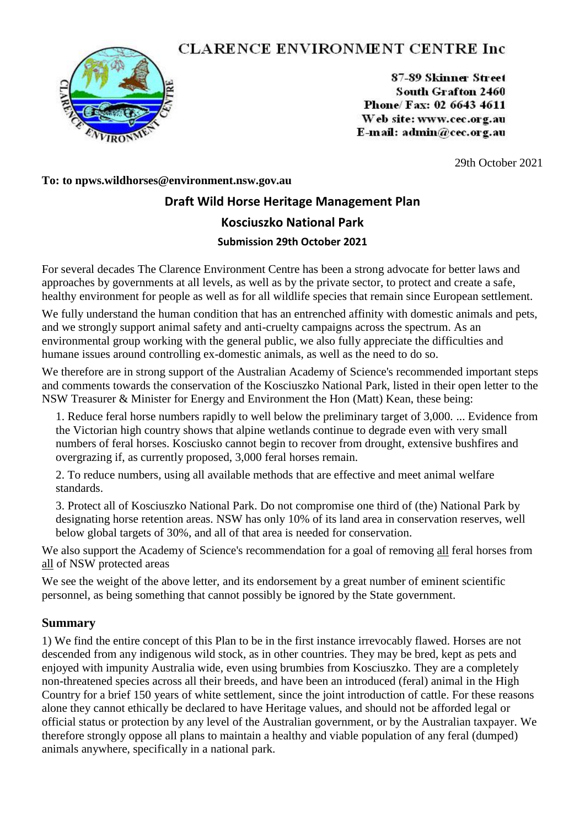## **CLARENCE ENVIRONMENT CENTRE Inc**



87-89 Skinner Street South Grafton 2460 Phone/Fax: 02 6643 4611 Web site: www.cec.org.au E-mail:  $\text{admin}\n\widehat{a}$ cec.org.au

29th October 2021

## **To: to npws.wildhorses@environment.nsw.gov.au**

# **Draft Wild Horse Heritage Management Plan Kosciuszko National Park Submission 29th October 2021**

For several decades The Clarence Environment Centre has been a strong advocate for better laws and approaches by governments at all levels, as well as by the private sector, to protect and create a safe, healthy environment for people as well as for all wildlife species that remain since European settlement.

We fully understand the human condition that has an entrenched affinity with domestic animals and pets, and we strongly support animal safety and anti-cruelty campaigns across the spectrum. As an environmental group working with the general public, we also fully appreciate the difficulties and humane issues around controlling ex-domestic animals, as well as the need to do so.

We therefore are in strong support of the Australian Academy of Science's recommended important steps and comments towards the conservation of the Kosciuszko National Park, listed in their open letter to the NSW Treasurer & Minister for Energy and Environment the Hon (Matt) Kean, these being:

1. Reduce feral horse numbers rapidly to well below the preliminary target of 3,000. ... Evidence from the Victorian high country shows that alpine wetlands continue to degrade even with very small numbers of feral horses. Kosciusko cannot begin to recover from drought, extensive bushfires and overgrazing if, as currently proposed, 3,000 feral horses remain.

2. To reduce numbers, using all available methods that are effective and meet animal welfare standards.

3. Protect all of Kosciuszko National Park. Do not compromise one third of (the) National Park by designating horse retention areas. NSW has only 10% of its land area in conservation reserves, well below global targets of 30%, and all of that area is needed for conservation.

We also support the Academy of Science's recommendation for a goal of removing all feral horses from all of NSW protected areas

We see the weight of the above letter, and its endorsement by a great number of eminent scientific personnel, as being something that cannot possibly be ignored by the State government.

#### **Summary**

1) We find the entire concept of this Plan to be in the first instance irrevocably flawed. Horses are not descended from any indigenous wild stock, as in other countries. They may be bred, kept as pets and enjoyed with impunity Australia wide, even using brumbies from Kosciuszko. They are a completely non-threatened species across all their breeds, and have been an introduced (feral) animal in the High Country for a brief 150 years of white settlement, since the joint introduction of cattle. For these reasons alone they cannot ethically be declared to have Heritage values, and should not be afforded legal or official status or protection by any level of the Australian government, or by the Australian taxpayer. We therefore strongly oppose all plans to maintain a healthy and viable population of any feral (dumped) animals anywhere, specifically in a national park.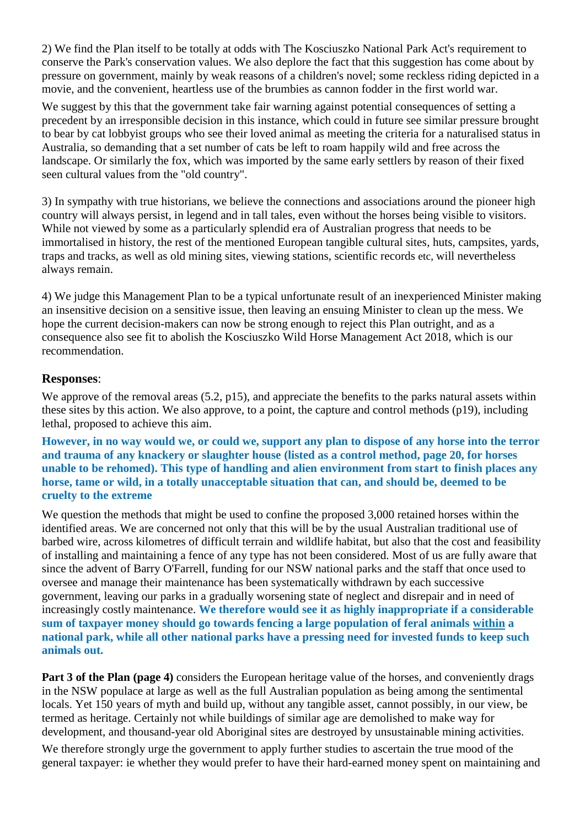2) We find the Plan itself to be totally at odds with The Kosciuszko National Park Act's requirement to conserve the Park's conservation values. We also deplore the fact that this suggestion has come about by pressure on government, mainly by weak reasons of a children's novel; some reckless riding depicted in a movie, and the convenient, heartless use of the brumbies as cannon fodder in the first world war.

We suggest by this that the government take fair warning against potential consequences of setting a precedent by an irresponsible decision in this instance, which could in future see similar pressure brought to bear by cat lobbyist groups who see their loved animal as meeting the criteria for a naturalised status in Australia, so demanding that a set number of cats be left to roam happily wild and free across the landscape. Or similarly the fox, which was imported by the same early settlers by reason of their fixed seen cultural values from the "old country".

3) In sympathy with true historians, we believe the connections and associations around the pioneer high country will always persist, in legend and in tall tales, even without the horses being visible to visitors. While not viewed by some as a particularly splendid era of Australian progress that needs to be immortalised in history, the rest of the mentioned European tangible cultural sites, huts, campsites, yards, traps and tracks, as well as old mining sites, viewing stations, scientific records etc, will nevertheless always remain.

4) We judge this Management Plan to be a typical unfortunate result of an inexperienced Minister making an insensitive decision on a sensitive issue, then leaving an ensuing Minister to clean up the mess. We hope the current decision-makers can now be strong enough to reject this Plan outright, and as a consequence also see fit to abolish the Kosciuszko Wild Horse Management Act 2018, which is our recommendation.

## **Responses**:

We approve of the removal areas (5.2, p15), and appreciate the benefits to the parks natural assets within these sites by this action. We also approve, to a point, the capture and control methods (p19), including lethal, proposed to achieve this aim.

**However, in no way would we, or could we, support any plan to dispose of any horse into the terror and trauma of any knackery or slaughter house (listed as a control method, page 20, for horses unable to be rehomed). This type of handling and alien environment from start to finish places any horse, tame or wild, in a totally unacceptable situation that can, and should be, deemed to be cruelty to the extreme**

We question the methods that might be used to confine the proposed 3,000 retained horses within the identified areas. We are concerned not only that this will be by the usual Australian traditional use of barbed wire, across kilometres of difficult terrain and wildlife habitat, but also that the cost and feasibility of installing and maintaining a fence of any type has not been considered. Most of us are fully aware that since the advent of Barry O'Farrell, funding for our NSW national parks and the staff that once used to oversee and manage their maintenance has been systematically withdrawn by each successive government, leaving our parks in a gradually worsening state of neglect and disrepair and in need of increasingly costly maintenance. **We therefore would see it as highly inappropriate if a considerable sum of taxpayer money should go towards fencing a large population of feral animals within a national park, while all other national parks have a pressing need for invested funds to keep such animals out.** 

**Part 3 of the Plan (page 4)** considers the European heritage value of the horses, and conveniently drags in the NSW populace at large as well as the full Australian population as being among the sentimental locals. Yet 150 years of myth and build up, without any tangible asset, cannot possibly, in our view, be termed as heritage. Certainly not while buildings of similar age are demolished to make way for development, and thousand-year old Aboriginal sites are destroyed by unsustainable mining activities.

We therefore strongly urge the government to apply further studies to ascertain the true mood of the general taxpayer: ie whether they would prefer to have their hard-earned money spent on maintaining and